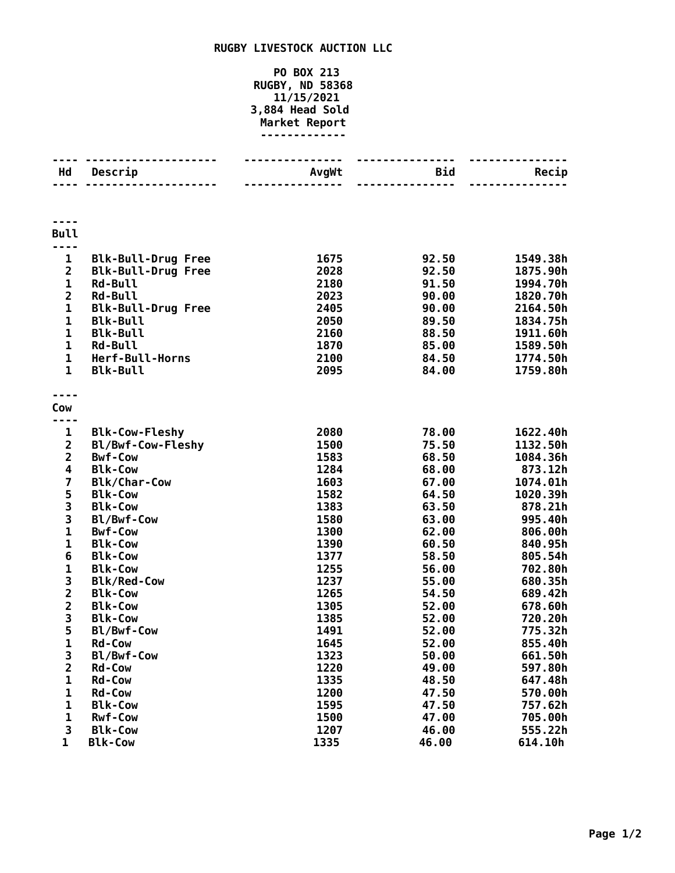## **RUGBY LIVESTOCK AUCTION LLC**

## **PO BOX 213 RUGBY, ND 58368 11/15/2021 3,884 Head Sold Market Report -------------**

| Hd                                                                                                                                                                     | Descrip                                                                                                                                                                                                               | AvgWt                                                                                | <b>Bid</b><br>------                                                                            | Recip                                                                                                                      |
|------------------------------------------------------------------------------------------------------------------------------------------------------------------------|-----------------------------------------------------------------------------------------------------------------------------------------------------------------------------------------------------------------------|--------------------------------------------------------------------------------------|-------------------------------------------------------------------------------------------------|----------------------------------------------------------------------------------------------------------------------------|
| <b>Bull</b>                                                                                                                                                            |                                                                                                                                                                                                                       |                                                                                      |                                                                                                 |                                                                                                                            |
| $\mathbf{1}$<br>$\overline{\mathbf{c}}$<br>$\mathbf{1}$<br>$\overline{\mathbf{c}}$<br>$\mathbf{1}$<br>$\mathbf{1}$<br>$\mathbf{1}$<br>1<br>$\mathbf 1$<br>$\mathbf{1}$ | <b>Blk-Bull-Drug Free</b><br><b>Blk-Bull-Drug Free</b><br><b>Rd-Bull</b><br><b>Rd-Bull</b><br><b>Blk-Bull-Drug Free</b><br><b>Blk-Bull</b><br><b>Blk-Bull</b><br><b>Rd-Bull</b><br>Herf-Bull-Horns<br><b>Blk-Bull</b> | 1675<br>2028<br>2180<br>2023<br>2405<br>2050<br>2160<br>1870<br>2100<br>2095         | 92.50<br>92.50<br>91.50<br>90.00<br>90.00<br>89.50<br>88.50<br>85.00<br>84.50<br>84.00          | 1549.38h<br>1875.90h<br>1994.70h<br>1820.70h<br>2164.50h<br>1834.75h<br>1911.60h<br>1589.50h<br>1774.50h<br>1759.80h       |
| Cow                                                                                                                                                                    |                                                                                                                                                                                                                       |                                                                                      |                                                                                                 |                                                                                                                            |
| 1<br>$\overline{\mathbf{c}}$<br>$\overline{\mathbf{c}}$<br>4<br>$\overline{\mathbf{z}}$<br>5<br>3<br>3<br>$\mathbf{1}$<br>$\mathbf{1}$<br>6                            | <b>Blk-Cow-Fleshy</b><br>Bl/Bwf-Cow-Fleshy<br><b>Bwf-Cow</b><br><b>Blk-Cow</b><br><b>Blk/Char-Cow</b><br><b>Blk-Cow</b><br><b>Blk-Cow</b><br>Bl/Bwf-Cow<br><b>Bwf-Cow</b><br><b>Blk-Cow</b><br><b>Blk-Cow</b>         | 2080<br>1500<br>1583<br>1284<br>1603<br>1582<br>1383<br>1580<br>1300<br>1390<br>1377 | 78.00<br>75.50<br>68.50<br>68.00<br>67.00<br>64.50<br>63.50<br>63.00<br>62.00<br>60.50<br>58.50 | 1622.40h<br>1132.50h<br>1084.36h<br>873.12h<br>1074.01h<br>1020.39h<br>878.21h<br>995.40h<br>806.00h<br>840.95h<br>805.54h |
| $\mathbf{1}$<br>3<br>$\frac{2}{2}$<br>3                                                                                                                                | <b>Blk-Cow</b><br><b>Blk/Red-Cow</b><br><b>Blk-Cow</b><br><b>Blk-Cow</b><br><b>Blk-Cow</b>                                                                                                                            | 1255<br>1237<br>1265<br>1305<br>1385                                                 | 56.00<br>55.00<br>54.50<br>52.00<br>52.00                                                       | 702.80h<br>680.35h<br>689.42h<br>678.60h<br>720.20h                                                                        |
| 5<br>$\mathbf 1$<br>3<br>$\overline{\mathbf{c}}$<br>$\mathbf{1}$<br>$\mathbf{1}$                                                                                       | Bl/Bwf-Cow<br><b>Rd-Cow</b><br>Bl/Bwf-Cow<br>Rd-Cow<br><b>Rd-Cow</b><br><b>Rd-Cow</b>                                                                                                                                 | 1491<br>1645<br>1323<br>1220<br>1335<br>1200                                         | 52.00<br>52.00<br>50.00<br>49.00<br>48.50                                                       | 775.32h<br>855.40h<br>661.50h<br>597.80h<br>647.48h                                                                        |
| 1<br>$\mathbf{1}$<br>3<br>1                                                                                                                                            | <b>Blk-Cow</b><br><b>Rwf-Cow</b><br><b>Blk-Cow</b><br><b>Blk-Cow</b>                                                                                                                                                  | 1595<br>1500<br>1207<br>1335                                                         | 47.50<br>47.50<br>47.00<br>46.00<br>46.00                                                       | 570.00h<br>757.62h<br>705.00h<br>555.22h<br>614.10h                                                                        |